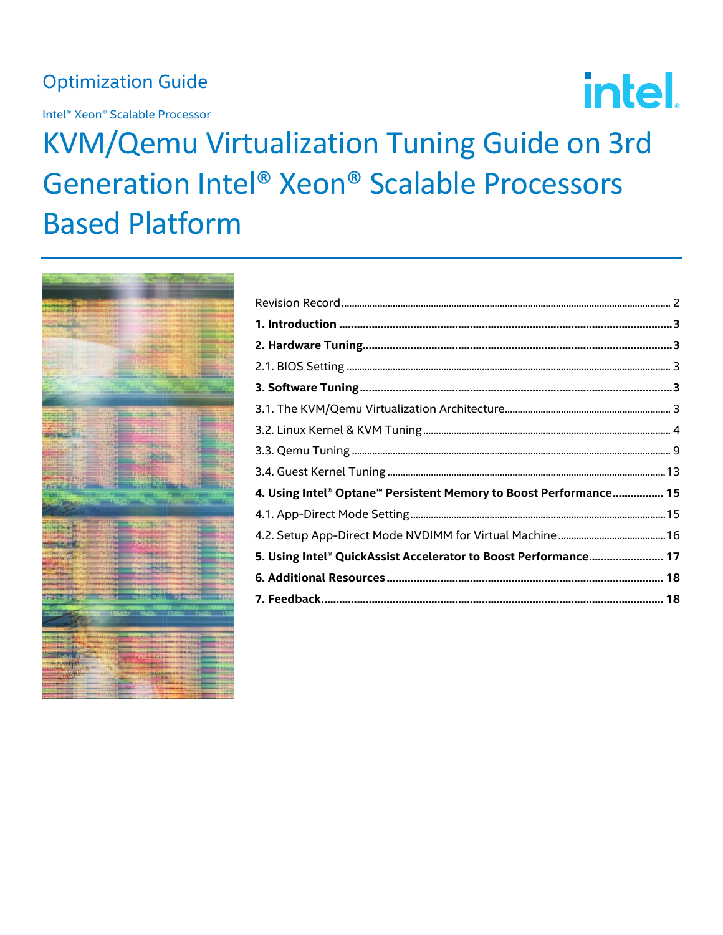## **Optimization Guide**

Intel® Xeon® Scalable Processor

# intel.

## **KVM/Qemu Virtualization Tuning Guide on 3rd** Generation Intel® Xeon® Scalable Processors **Based Platform**



| 4. Using Intel® Optane™ Persistent Memory to Boost Performance 15 |  |
|-------------------------------------------------------------------|--|
|                                                                   |  |
|                                                                   |  |
| 5. Using Intel® QuickAssist Accelerator to Boost Performance 17   |  |
|                                                                   |  |
|                                                                   |  |
|                                                                   |  |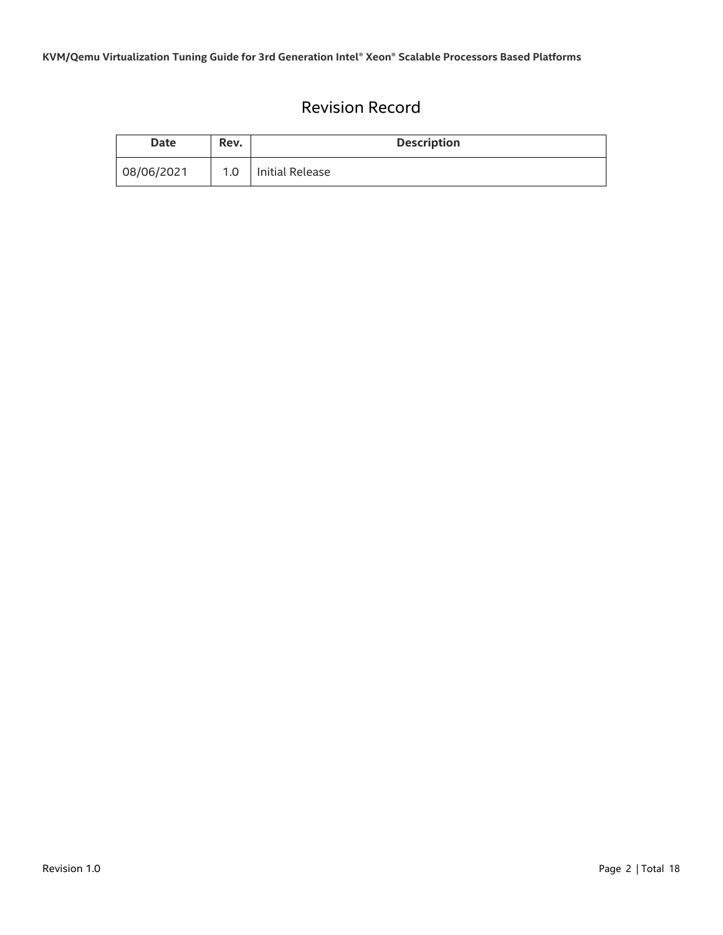## Revision Record

<span id="page-1-0"></span>

| Date       | Rev. | <b>Description</b> |
|------------|------|--------------------|
| 08/06/2021 | 1.0  | Initial Release    |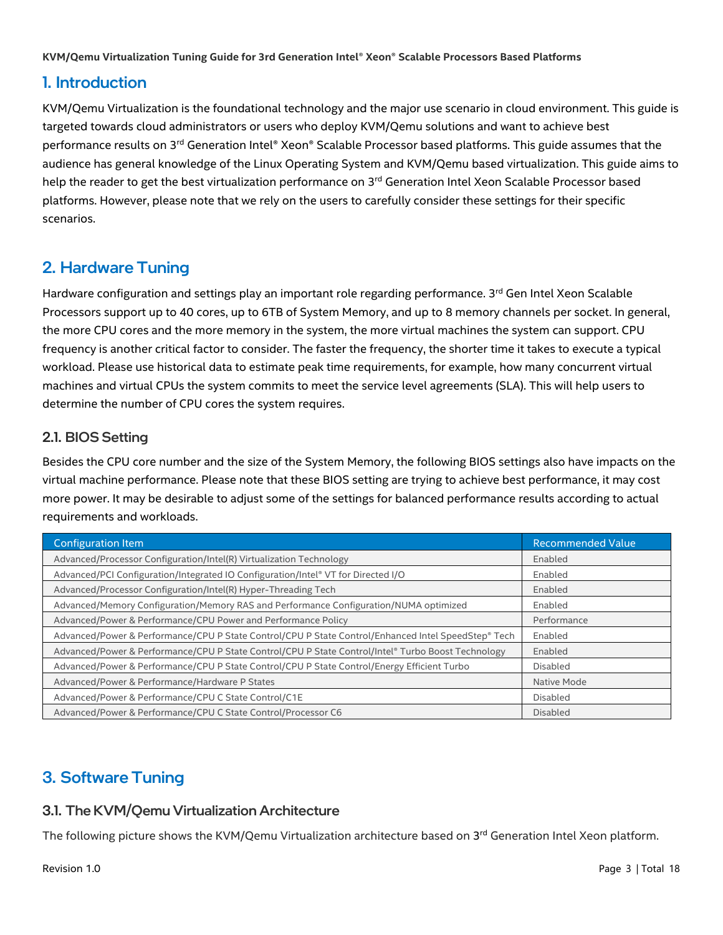## <span id="page-2-0"></span>1. Introduction

KVM/Qemu Virtualization is the foundational technology and the major use scenario in cloud environment. This guide is targeted towards cloud administrators or users who deploy KVM/Qemu solutions and want to achieve best performance results on 3<sup>rd</sup> Generation Intel® Xeon® Scalable Processor based platforms. This guide assumes that the audience has general knowledge of the Linux Operating System and KVM/Qemu based virtualization. This guide aims to help the reader to get the best virtualization performance on 3<sup>rd</sup> Generation Intel Xeon Scalable Processor based platforms. However, please note that we rely on the users to carefully consider these settings for their specific scenarios.

## <span id="page-2-1"></span>2. Hardware Tuning

Hardware configuration and settings play an important role regarding performance. 3<sup>rd</sup> Gen Intel Xeon Scalable Processors support up to 40 cores, up to 6TB of System Memory, and up to 8 memory channels per socket. In general, the more CPU cores and the more memory in the system, the more virtual machines the system can support. CPU frequency is another critical factor to consider. The faster the frequency, the shorter time it takes to execute a typical workload. Please use historical data to estimate peak time requirements, for example, how many concurrent virtual machines and virtual CPUs the system commits to meet the service level agreements (SLA). This will help users to determine the number of CPU cores the system requires.

### <span id="page-2-2"></span>2.1. BIOS Setting

Besides the CPU core number and the size of the System Memory, the following BIOS settings also have impacts on the virtual machine performance. Please note that these BIOS setting are trying to achieve best performance, it may cost more power. It may be desirable to adjust some of the settings for balanced performance results according to actual requirements and workloads.

| <b>Configuration Item</b>                                                                           | <b>Recommended Value</b> |
|-----------------------------------------------------------------------------------------------------|--------------------------|
| Advanced/Processor Configuration/Intel(R) Virtualization Technology                                 | Enabled                  |
| Advanced/PCI Configuration/Integrated IO Configuration/Intel® VT for Directed I/O                   | Enabled                  |
| Advanced/Processor Configuration/Intel(R) Hyper-Threading Tech                                      | Enabled                  |
| Advanced/Memory Configuration/Memory RAS and Performance Configuration/NUMA optimized               | Enabled                  |
| Advanced/Power & Performance/CPU Power and Performance Policy                                       | Performance              |
| Advanced/Power & Performance/CPU P State Control/CPU P State Control/Enhanced Intel SpeedStep® Tech | Enabled                  |
| Advanced/Power & Performance/CPU P State Control/CPU P State Control/Intel® Turbo Boost Technology  | Enabled                  |
| Advanced/Power & Performance/CPU P State Control/CPU P State Control/Energy Efficient Turbo         | <b>Disabled</b>          |
| Advanced/Power & Performance/Hardware P States                                                      | Native Mode              |
| Advanced/Power & Performance/CPU C State Control/C1E                                                | Disabled                 |
| Advanced/Power & Performance/CPU C State Control/Processor C6                                       | Disabled                 |

## <span id="page-2-3"></span>3. Software Tuning

## <span id="page-2-4"></span>3.1. The KVM/Qemu Virtualization Architecture

The following picture shows the KVM/Qemu Virtualization architecture based on 3<sup>rd</sup> Generation Intel Xeon platform.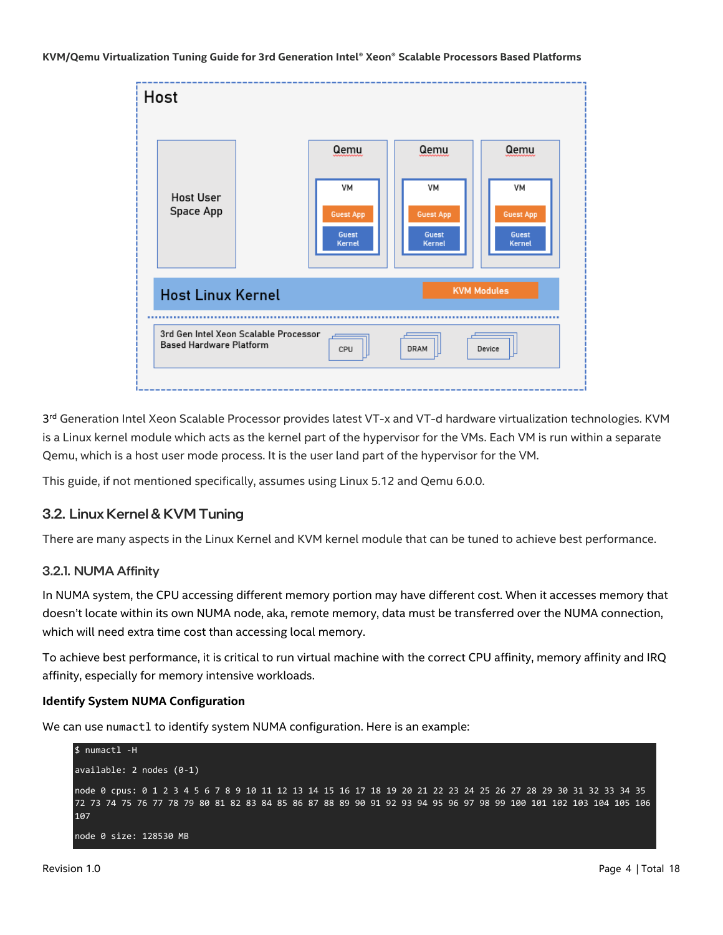

3<sup>rd</sup> Generation Intel Xeon Scalable Processor provides latest VT-x and VT-d hardware virtualization technologies. KVM is a Linux kernel module which acts as the kernel part of the hypervisor for the VMs. Each VM is run within a separate Qemu, which is a host user mode process. It is the user land part of the hypervisor for the VM.

This guide, if not mentioned specifically, assumes using Linux 5.12 and Qemu 6.0.0.

#### <span id="page-3-0"></span>3.2. Linux Kernel & KVM Tuning

There are many aspects in the Linux Kernel and KVM kernel module that can be tuned to achieve best performance.

#### 3.2.1. NUMA Affinity

In NUMA system, the CPU accessing different memory portion may have different cost. When it accesses memory that doesn't locate within its own NUMA node, aka, remote memory, data must be transferred over the NUMA connection, which will need extra time cost than accessing local memory.

To achieve best performance, it is critical to run virtual machine with the correct CPU affinity, memory affinity and IRQ affinity, especially for memory intensive workloads.

#### **Identify System NUMA Configuration**

We can use numactl to identify system NUMA configuration. Here is an example:

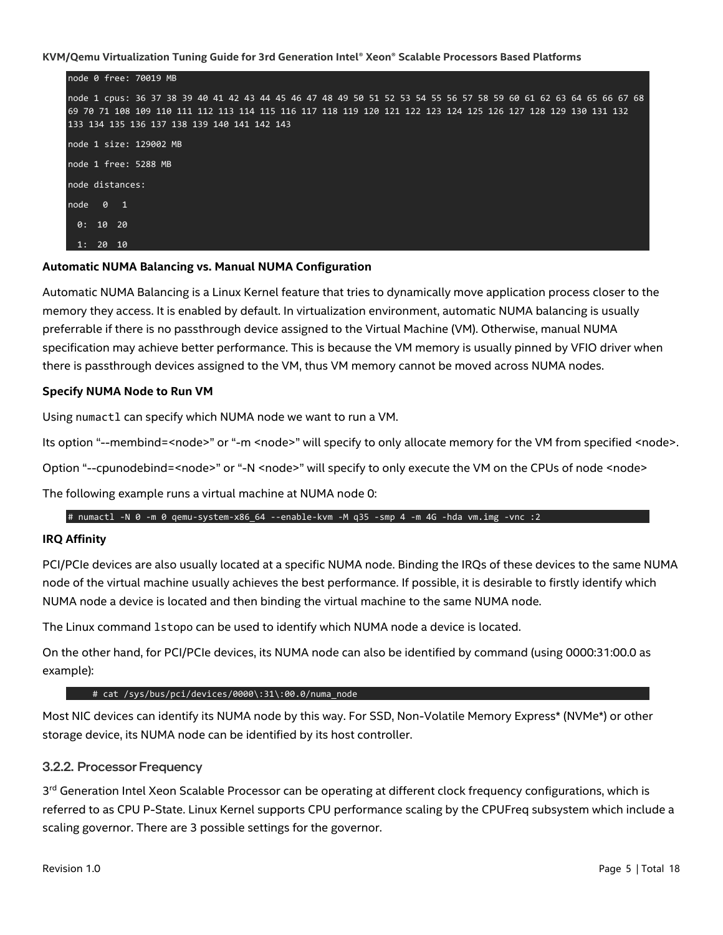

#### **Automatic NUMA Balancing vs. Manual NUMA Configuration**

Automatic NUMA Balancing is a Linux Kernel feature that tries to dynamically move application process closer to the memory they access. It is enabled by default. In virtualization environment, automatic NUMA balancing is usually preferrable if there is no passthrough device assigned to the Virtual Machine (VM). Otherwise, manual NUMA specification may achieve better performance. This is because the VM memory is usually pinned by VFIO driver when there is passthrough devices assigned to the VM, thus VM memory cannot be moved across NUMA nodes.

#### **Specify NUMA Node to Run VM**

Using numactl can specify which NUMA node we want to run a VM.

Its option "--membind=<node>" or "-m <node>" will specify to only allocate memory for the VM from specified <node>.

Option "--cpunodebind=<node>" or "-N <node>" will specify to only execute the VM on the CPUs of node <node>

The following example runs a virtual machine at NUMA node 0:

#### # numactl -N 0 -m 0 qemu-system-x86\_64 --enable-kvm -M q35 -smp 4 -m 4G -hda vm.img -vnc :2

#### **IRQ Affinity**

PCI/PCIe devices are also usually located at a specific NUMA node. Binding the IRQs of these devices to the same NUMA node of the virtual machine usually achieves the best performance. If possible, it is desirable to firstly identify which NUMA node a device is located and then binding the virtual machine to the same NUMA node.

The Linux command lstopo can be used to identify which NUMA node a device is located.

On the other hand, for PCI/PCIe devices, its NUMA node can also be identified by command (using 0000:31:00.0 as example):

#### # cat /sys/bus/pci/devices/0000\:31\:00.0/numa\_node

Most NIC devices can identify its NUMA node by this way. For SSD, Non-Volatile Memory Express\* (NVMe\*) or other storage device, its NUMA node can be identified by its host controller.

#### 3.2.2. Processor Frequency

3<sup>rd</sup> Generation Intel Xeon Scalable Processor can be operating at different clock frequency configurations, which is referred to as CPU P-State. Linux Kernel supports CPU performance scaling by the CPUFreq subsystem which include a scaling governor. There are 3 possible settings for the governor.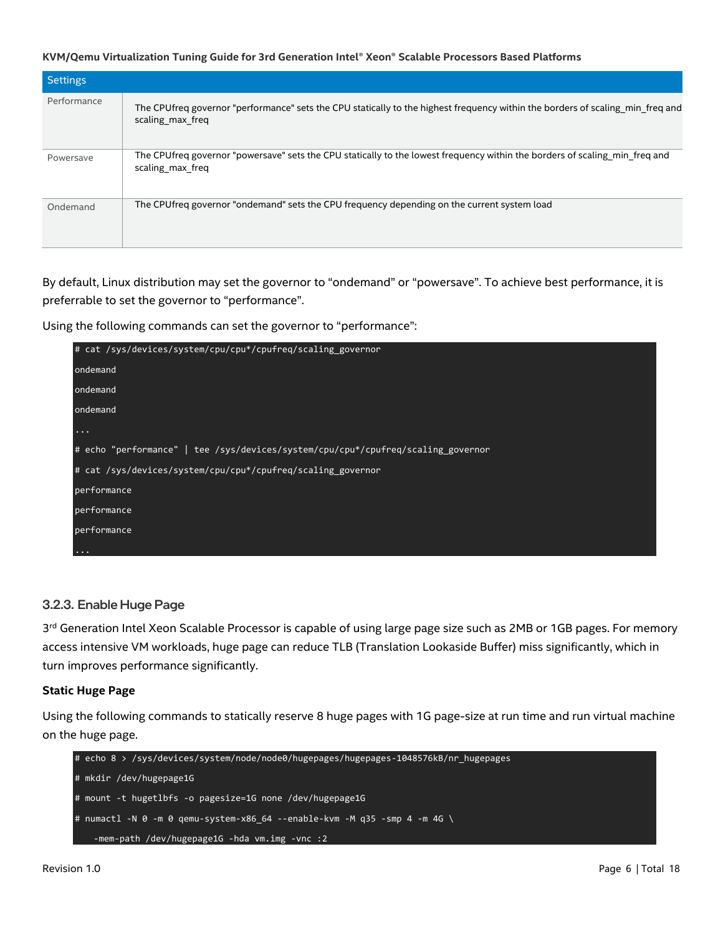| <b>Settings</b> |                                                                                                                                                    |
|-----------------|----------------------------------------------------------------------------------------------------------------------------------------------------|
| Performance     | The CPUfreq governor "performance" sets the CPU statically to the highest frequency within the borders of scaling_min_freq and<br>scaling max freq |
| Powersave       | The CPUfreq governor "powersave" sets the CPU statically to the lowest frequency within the borders of scaling min freq and<br>scaling max freq    |
| Ondemand        | The CPU freq governor "ondemand" sets the CPU frequency depending on the current system load                                                       |

By default, Linux distribution may set the governor to "ondemand" or "powersave". To achieve best performance, it is preferrable to set the governor to "performance".

Using the following commands can set the governor to "performance":



#### 3.2.3. Enable Huge Page

3<sup>rd</sup> Generation Intel Xeon Scalable Processor is capable of using large page size such as 2MB or 1GB pages. For memory access intensive VM workloads, huge page can reduce TLB (Translation Lookaside Buffer) miss significantly, which in turn improves performance significantly.

#### **Static Huge Page**

Using the following commands to statically reserve 8 huge pages with 1G page-size at run time and run virtual machine on the huge page.

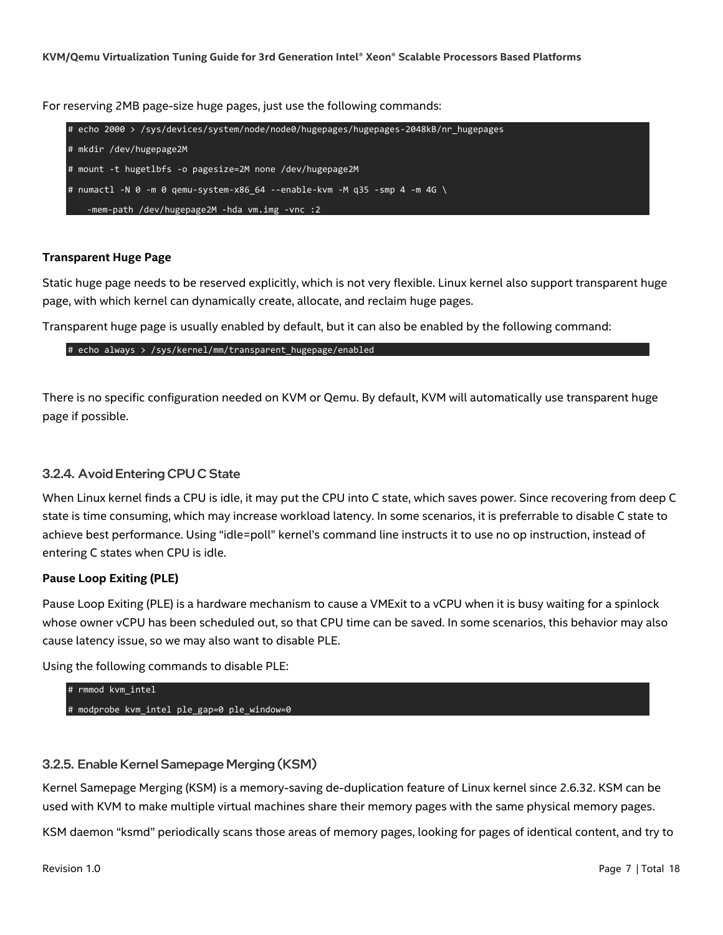For reserving 2MB page-size huge pages, just use the following commands:



#### **Transparent Huge Page**

Static huge page needs to be reserved explicitly, which is not very flexible. Linux kernel also support transparent huge page, with which kernel can dynamically create, allocate, and reclaim huge pages.

Transparent huge page is usually enabled by default, but it can also be enabled by the following command:

# echo always > /sys/kernel/mm/transparent\_hugepage/enabled

There is no specific configuration needed on KVM or Qemu. By default, KVM will automatically use transparent huge page if possible.

#### 3.2.4. Avoid Entering CPU C State

When Linux kernel finds a CPU is idle, it may put the CPU into C state, which saves power. Since recovering from deep C state is time consuming, which may increase workload latency. In some scenarios, it is preferrable to disable C state to achieve best performance. Using "idle=poll" kernel's command line instructs it to use no op instruction, instead of entering C states when CPU is idle.

#### **Pause Loop Exiting (PLE)**

Pause Loop Exiting (PLE) is a hardware mechanism to cause a VMExit to a vCPU when it is busy waiting for a spinlock whose owner vCPU has been scheduled out, so that CPU time can be saved. In some scenarios, this behavior may also cause latency issue, so we may also want to disable PLE.

Using the following commands to disable PLE:

# rmmod kvm\_intel # modprobe kvm intel ple gap=0 ple window=0

#### 3.2.5. Enable Kernel Samepage Merging (KSM)

Kernel Samepage Merging (KSM) is a memory-saving de-duplication feature of Linux kernel since 2.6.32. KSM can be used with KVM to make multiple virtual machines share their memory pages with the same physical memory pages.

KSM daemon "ksmd" periodically scans those areas of memory pages, looking for pages of identical content, and try to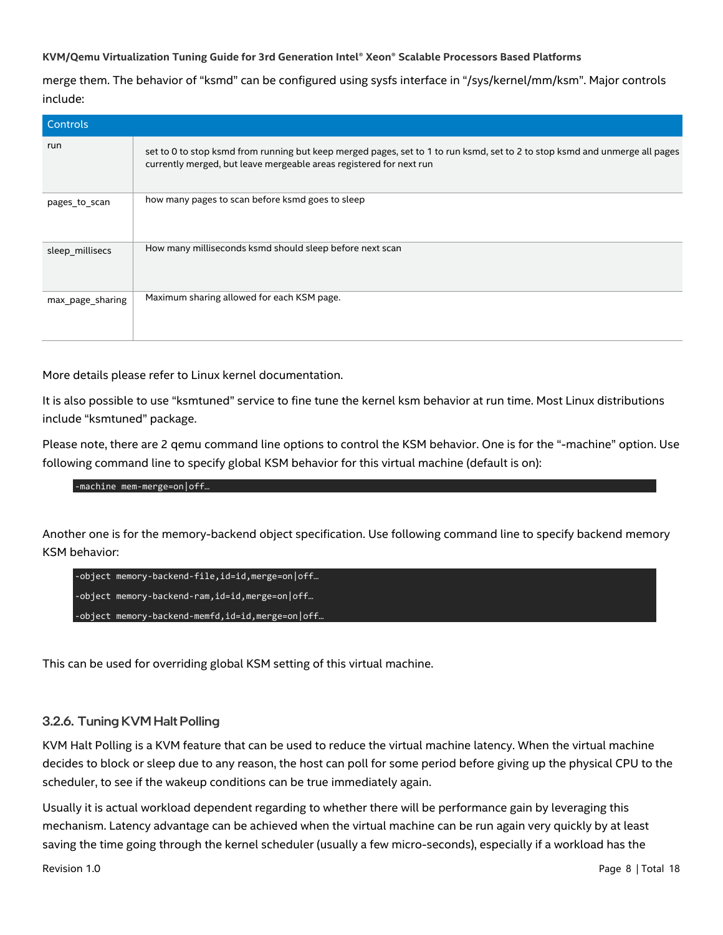merge them. The behavior of "ksmd" can be configured using sysfs interface in "/sys/kernel/mm/ksm". Major controls include:

| <b>Controls</b>  |                                                                                                                                                                                                    |
|------------------|----------------------------------------------------------------------------------------------------------------------------------------------------------------------------------------------------|
| run              | set to 0 to stop ksmd from running but keep merged pages, set to 1 to run ksmd, set to 2 to stop ksmd and unmerge all pages<br>currently merged, but leave mergeable areas registered for next run |
| pages to scan    | how many pages to scan before ksmd goes to sleep                                                                                                                                                   |
| sleep_millisecs  | How many milliseconds ksmd should sleep before next scan                                                                                                                                           |
| max_page_sharing | Maximum sharing allowed for each KSM page.                                                                                                                                                         |

More details please refer to Linux kernel documentation.

It is also possible to use "ksmtuned" service to fine tune the kernel ksm behavior at run time. Most Linux distributions include "ksmtuned" package.

Please note, there are 2 qemu command line options to control the KSM behavior. One is for the "-machine" option. Use following command line to specify global KSM behavior for this virtual machine (default is on):

#### -machine mem-merge=on|off…

Another one is for the memory-backend object specification. Use following command line to specify backend memory KSM behavior:

| -object memory-backend-file, id=id, merge=on off |
|--------------------------------------------------|
| -object memory-backend-ram,id=id,merge=on off    |
| -object memory-backend-memfd,id=id,merge=on off  |

This can be used for overriding global KSM setting of this virtual machine.

#### 3.2.6. Tuning KVM Halt Polling

KVM Halt Polling is a KVM feature that can be used to reduce the virtual machine latency. When the virtual machine decides to block or sleep due to any reason, the host can poll for some period before giving up the physical CPU to the scheduler, to see if the wakeup conditions can be true immediately again.

Usually it is actual workload dependent regarding to whether there will be performance gain by leveraging this mechanism. Latency advantage can be achieved when the virtual machine can be run again very quickly by at least saving the time going through the kernel scheduler (usually a few micro-seconds), especially if a workload has the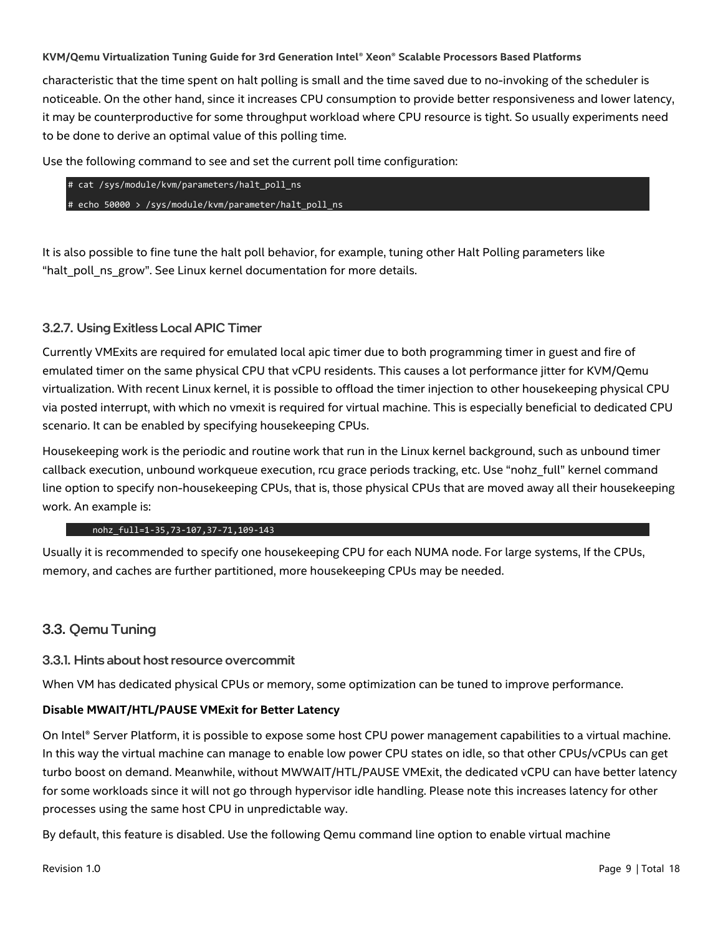characteristic that the time spent on halt polling is small and the time saved due to no-invoking of the scheduler is noticeable. On the other hand, since it increases CPU consumption to provide better responsiveness and lower latency, it may be counterproductive for some throughput workload where CPU resource is tight. So usually experiments need to be done to derive an optimal value of this polling time.

Use the following command to see and set the current poll time configuration:

|  |  | # cat /sys/module/kvm/parameters/halt poll ns         |
|--|--|-------------------------------------------------------|
|  |  | # echo 50000 > /sys/module/kvm/parameter/halt poll ns |

It is also possible to fine tune the halt poll behavior, for example, tuning other Halt Polling parameters like "halt\_poll\_ns\_grow". See Linux kernel documentation for more details.

#### 3.2.7. Using Exitless Local APIC Timer

Currently VMExits are required for emulated local apic timer due to both programming timer in guest and fire of emulated timer on the same physical CPU that vCPU residents. This causes a lot performance jitter for KVM/Qemu virtualization. With recent Linux kernel, it is possible to offload the timer injection to other housekeeping physical CPU via posted interrupt, with which no vmexit is required for virtual machine. This is especially beneficial to dedicated CPU scenario. It can be enabled by specifying housekeeping CPUs.

Housekeeping work is the periodic and routine work that run in the Linux kernel background, such as unbound timer callback execution, unbound workqueue execution, rcu grace periods tracking, etc. Use "nohz\_full" kernel command line option to specify non-housekeeping CPUs, that is, those physical CPUs that are moved away all their housekeeping work. An example is:

#### nohz\_full=1-35,73-107,37-71,109-143

Usually it is recommended to specify one housekeeping CPU for each NUMA node. For large systems, If the CPUs, memory, and caches are further partitioned, more housekeeping CPUs may be needed.

#### <span id="page-8-0"></span>3.3. Qemu Tuning

#### 3.3.1. Hints about host resource overcommit

When VM has dedicated physical CPUs or memory, some optimization can be tuned to improve performance.

#### **Disable MWAIT/HTL/PAUSE VMExit for Better Latency**

On Intel® Server Platform, it is possible to expose some host CPU power management capabilities to a virtual machine. In this way the virtual machine can manage to enable low power CPU states on idle, so that other CPUs/vCPUs can get turbo boost on demand. Meanwhile, without MWWAIT/HTL/PAUSE VMExit, the dedicated vCPU can have better latency for some workloads since it will not go through hypervisor idle handling. Please note this increases latency for other processes using the same host CPU in unpredictable way.

By default, this feature is disabled. Use the following Qemu command line option to enable virtual machine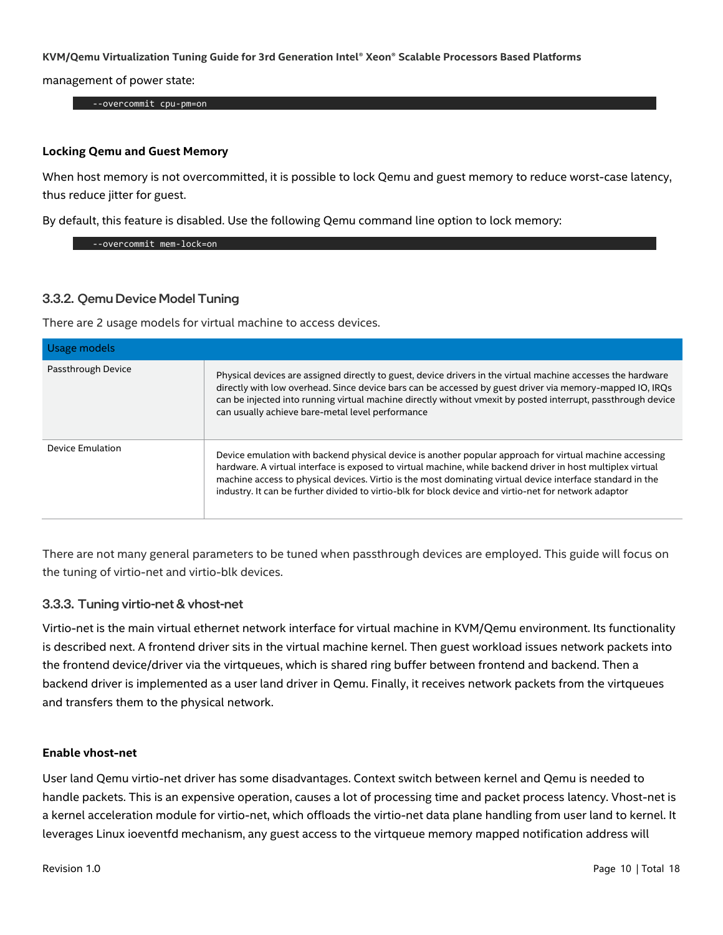management of power state:

--overcommit cpu-pm=on

#### **Locking Qemu and Guest Memory**

When host memory is not overcommitted, it is possible to lock Qemu and guest memory to reduce worst-case latency, thus reduce jitter for guest.

By default, this feature is disabled. Use the following Qemu command line option to lock memory:

--overcommit mem-lock=on

#### 3.3.2. Qemu Device Model Tuning

There are 2 usage models for virtual machine to access devices.

| Usage models       |                                                                                                                                                                                                                                                                                                                                                                                                                                               |
|--------------------|-----------------------------------------------------------------------------------------------------------------------------------------------------------------------------------------------------------------------------------------------------------------------------------------------------------------------------------------------------------------------------------------------------------------------------------------------|
| Passthrough Device | Physical devices are assigned directly to guest, device drivers in the virtual machine accesses the hardware<br>directly with low overhead. Since device bars can be accessed by guest driver via memory-mapped IO, IRQs<br>can be injected into running virtual machine directly without vmexit by posted interrupt, passthrough device<br>can usually achieve bare-metal level performance                                                  |
| Device Emulation   | Device emulation with backend physical device is another popular approach for virtual machine accessing<br>hardware. A virtual interface is exposed to virtual machine, while backend driver in host multiplex virtual<br>machine access to physical devices. Virtio is the most dominating virtual device interface standard in the<br>industry. It can be further divided to virtio-blk for block device and virtio-net for network adaptor |

There are not many general parameters to be tuned when passthrough devices are employed. This guide will focus on the tuning of virtio-net and virtio-blk devices.

#### 3.3.3. Tuning virtio-net & vhost-net

Virtio-net is the main virtual ethernet network interface for virtual machine in KVM/Qemu environment. Its functionality is described next. A frontend driver sits in the virtual machine kernel. Then guest workload issues network packets into the frontend device/driver via the virtqueues, which is shared ring buffer between frontend and backend. Then a backend driver is implemented as a user land driver in Qemu. Finally, it receives network packets from the virtqueues and transfers them to the physical network.

#### **Enable vhost-net**

User land Qemu virtio-net driver has some disadvantages. Context switch between kernel and Qemu is needed to handle packets. This is an expensive operation, causes a lot of processing time and packet process latency. Vhost-net is a kernel acceleration module for virtio-net, which offloads the virtio-net data plane handling from user land to kernel. It leverages Linux ioeventfd mechanism, any guest access to the virtqueue memory mapped notification address will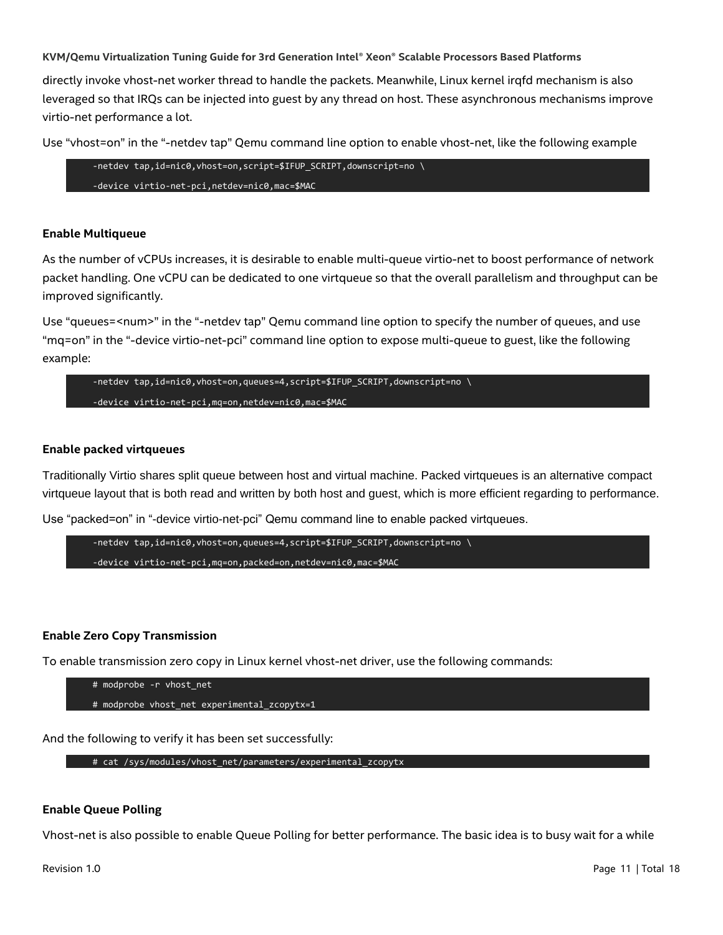directly invoke vhost-net worker thread to handle the packets. Meanwhile, Linux kernel irqfd mechanism is also leveraged so that IRQs can be injected into guest by any thread on host. These asynchronous mechanisms improve virtio-net performance a lot.

Use "vhost=on" in the "-netdev tap" Qemu command line option to enable vhost-net, like the following example

```
-netdev tap,id=nic0, vhost=on, script=$IFUP SCRIPT, downscript=no \
-device virtio-net-pci,netdev=nic0,mac=$MAC
```
#### **Enable Multiqueue**

As the number of vCPUs increases, it is desirable to enable multi-queue virtio-net to boost performance of network packet handling. One vCPU can be dedicated to one virtqueue so that the overall parallelism and throughput can be improved significantly.

Use "queues=<num>" in the "-netdev tap" Qemu command line option to specify the number of queues, and use "mq=on" in the "-device virtio-net-pci" command line option to expose multi-queue to guest, like the following example:

```
-netdev tap,id=nic0,vhost=on,queues=4,script=$IFUP_SCRIPT,downscript=no \
-device virtio-net-pci,mq=on,netdev=nic0,mac=$MAC
```
#### **Enable packed virtqueues**

Traditionally Virtio shares split queue between host and virtual machine. Packed virtqueues is an alternative compact virtqueue layout that is both read and written by both host and guest, which is more efficient regarding to performance.

Use "packed=on" in "-device virtio-net-pci" Qemu command line to enable packed virtqueues.

```
-netdev tap,id=nic0,vhost=on,queues=4,script=$IFUP_SCRIPT,downscript=no \
-device virtio-net-pci,mq=on,packed=on,netdev=nic0,mac=$MAC
```
#### **Enable Zero Copy Transmission**

To enable transmission zero copy in Linux kernel vhost-net driver, use the following commands:

```
# modprobe -r vhost_net
# modprobe vhost_net experimental_zcopytx=1
```
And the following to verify it has been set successfully:

# cat /sys/modules/vhost net/parameters/experimental\_zcopytx

#### **Enable Queue Polling**

Vhost-net is also possible to enable Queue Polling for better performance. The basic idea is to busy wait for a while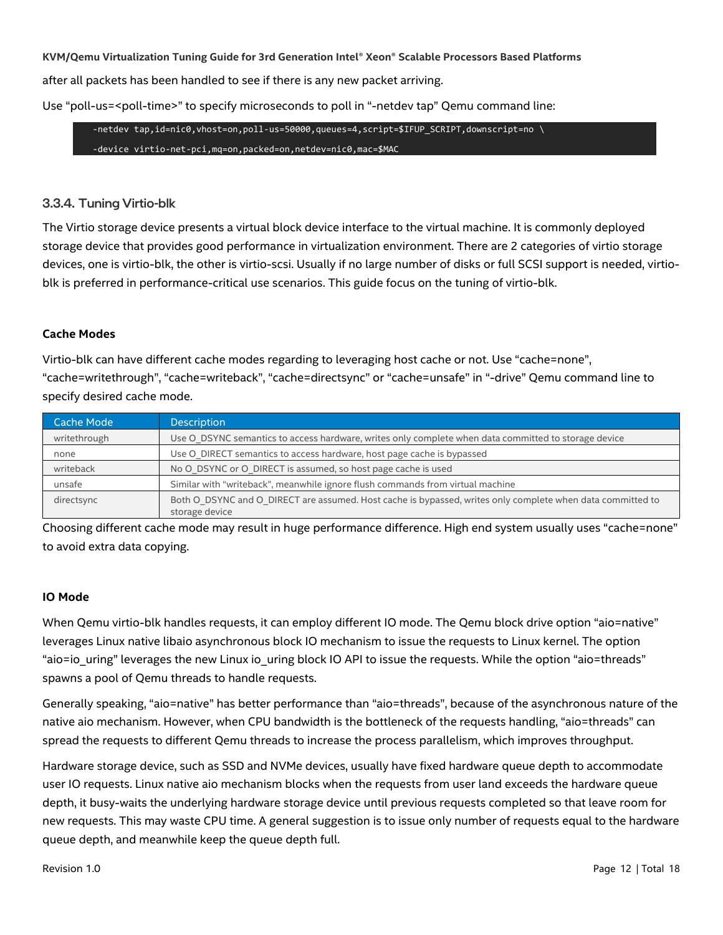after all packets has been handled to see if there is any new packet arriving.

Use "poll-us=<poll-time>" to specify microseconds to poll in "-netdev tap" Qemu command line:

-netdev tap,id=nic0,vhost=on,poll-us=50000,queues=4,script=\$IFUP\_SCRIPT,downscript=no \ -device virtio-net-pci,mq=on,packed=on,netdev=nic0,mac=\$MAC

#### 3.3.4. Tuning Virtio-blk

The Virtio storage device presents a virtual block device interface to the virtual machine. It is commonly deployed storage device that provides good performance in virtualization environment. There are 2 categories of virtio storage devices, one is virtio-blk, the other is virtio-scsi. Usually if no large number of disks or full SCSI support is needed, virtioblk is preferred in performance-critical use scenarios. This guide focus on the tuning of virtio-blk.

#### **Cache Modes**

Virtio-blk can have different cache modes regarding to leveraging host cache or not. Use "cache=none", "cache=writethrough", "cache=writeback", "cache=directsync" or "cache=unsafe" in "-drive" Qemu command line to specify desired cache mode.

| Cache Mode   | <b>Description</b>                                                                                                           |
|--------------|------------------------------------------------------------------------------------------------------------------------------|
| writethrough | Use O DSYNC semantics to access hardware, writes only complete when data committed to storage device                         |
| none         | Use O DIRECT semantics to access hardware, host page cache is bypassed                                                       |
| writeback    | No O DSYNC or O DIRECT is assumed, so host page cache is used                                                                |
| unsafe       | Similar with "writeback", meanwhile ignore flush commands from virtual machine                                               |
| directsync   | Both O DSYNC and O DIRECT are assumed. Host cache is bypassed, writes only complete when data committed to<br>storage device |

Choosing different cache mode may result in huge performance difference. High end system usually uses "cache=none" to avoid extra data copying.

#### **IO Mode**

When Qemu virtio-blk handles requests, it can employ different IO mode. The Qemu block drive option "aio=native" leverages Linux native libaio asynchronous block IO mechanism to issue the requests to Linux kernel. The option "aio=io\_uring" leverages the new Linux io\_uring block IO API to issue the requests. While the option "aio=threads" spawns a pool of Qemu threads to handle requests.

Generally speaking, "aio=native" has better performance than "aio=threads", because of the asynchronous nature of the native aio mechanism. However, when CPU bandwidth is the bottleneck of the requests handling, "aio=threads" can spread the requests to different Qemu threads to increase the process parallelism, which improves throughput.

Hardware storage device, such as SSD and NVMe devices, usually have fixed hardware queue depth to accommodate user IO requests. Linux native aio mechanism blocks when the requests from user land exceeds the hardware queue depth, it busy-waits the underlying hardware storage device until previous requests completed so that leave room for new requests. This may waste CPU time. A general suggestion is to issue only number of requests equal to the hardware queue depth, and meanwhile keep the queue depth full.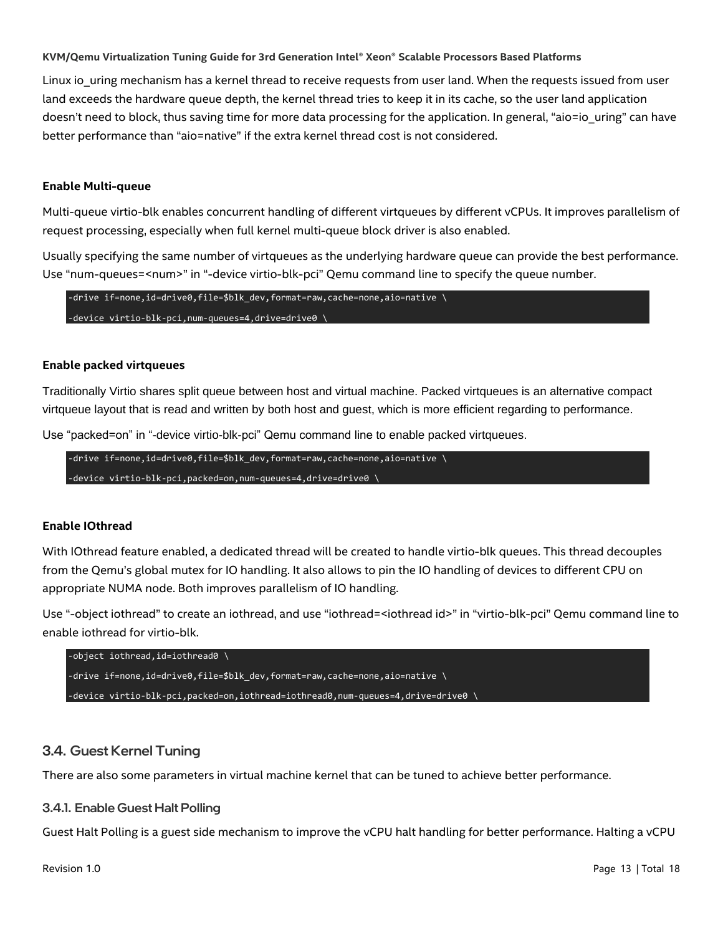Linux io uring mechanism has a kernel thread to receive requests from user land. When the requests issued from user land exceeds the hardware queue depth, the kernel thread tries to keep it in its cache, so the user land application doesn't need to block, thus saving time for more data processing for the application. In general, "aio=io\_uring" can have better performance than "aio=native" if the extra kernel thread cost is not considered.

#### **Enable Multi-queue**

Multi-queue virtio-blk enables concurrent handling of different virtqueues by different vCPUs. It improves parallelism of request processing, especially when full kernel multi-queue block driver is also enabled.

Usually specifying the same number of virtqueues as the underlying hardware queue can provide the best performance. Use "num-queues=<num>" in "-device virtio-blk-pci" Qemu command line to specify the queue number.

-drive if=none,id=drive0,file=\$blk\_dev,format=raw,cache=none,aio=native \ -device virtio-blk-pci,num-queues=4,drive=drive0 \

#### **Enable packed virtqueues**

Traditionally Virtio shares split queue between host and virtual machine. Packed virtqueues is an alternative compact virtqueue layout that is read and written by both host and guest, which is more efficient regarding to performance.

Use "packed=on" in "-device virtio-blk-pci" Qemu command line to enable packed virtqueues.

-drive if=none,id=drive0,file=\$blk\_dev,format=raw,cache=none,aio=native \ -device virtio-blk-pci,packed=on,num-queues=4,drive=drive0 \

#### **Enable IOthread**

With IOthread feature enabled, a dedicated thread will be created to handle virtio-blk queues. This thread decouples from the Qemu's global mutex for IO handling. It also allows to pin the IO handling of devices to different CPU on appropriate NUMA node. Both improves parallelism of IO handling.

Use "-object iothread" to create an iothread, and use "iothread=<iothread id>" in "virtio-blk-pci" Qemu command line to enable iothread for virtio-blk.



#### <span id="page-12-0"></span>3.4. Guest Kernel Tuning

There are also some parameters in virtual machine kernel that can be tuned to achieve better performance.

#### 3.4.1. Enable Guest Halt Polling

Guest Halt Polling is a guest side mechanism to improve the vCPU halt handling for better performance. Halting a vCPU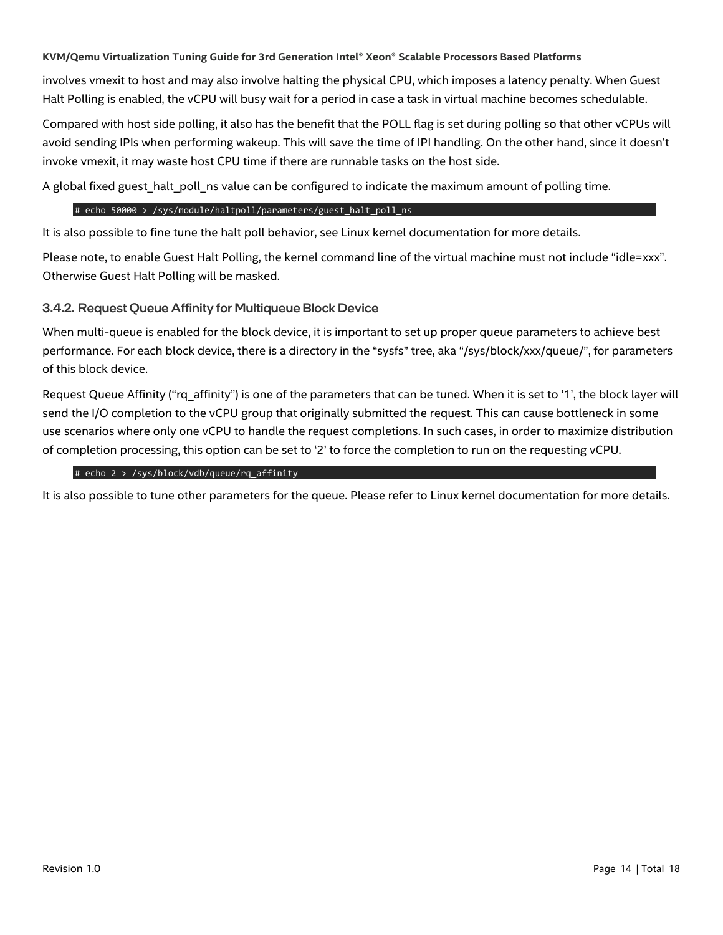involves vmexit to host and may also involve halting the physical CPU, which imposes a latency penalty. When Guest Halt Polling is enabled, the vCPU will busy wait for a period in case a task in virtual machine becomes schedulable.

Compared with host side polling, it also has the benefit that the POLL flag is set during polling so that other vCPUs will avoid sending IPIs when performing wakeup. This will save the time of IPI handling. On the other hand, since it doesn't invoke vmexit, it may waste host CPU time if there are runnable tasks on the host side.

A global fixed guest halt poll ns value can be configured to indicate the maximum amount of polling time.

#### # echo 50000 > /sys/module/haltpoll/parameters/guest halt poll ns

It is also possible to fine tune the halt poll behavior, see Linux kernel documentation for more details.

Please note, to enable Guest Halt Polling, the kernel command line of the virtual machine must not include "idle=xxx". Otherwise Guest Halt Polling will be masked.

#### 3.4.2. Request Queue Affinity for Multiqueue Block Device

When multi-queue is enabled for the block device, it is important to set up proper queue parameters to achieve best performance. For each block device, there is a directory in the "sysfs" tree, aka "/sys/block/xxx/queue/", for parameters of this block device.

Request Queue Affinity ("rq\_affinity") is one of the parameters that can be tuned. When it is set to '1', the block layer will send the I/O completion to the vCPU group that originally submitted the request. This can cause bottleneck in some use scenarios where only one vCPU to handle the request completions. In such cases, in order to maximize distribution of completion processing, this option can be set to '2' to force the completion to run on the requesting vCPU.

#### # echo 2 > /sys/block/vdb/queue/rq\_affinity

It is also possible to tune other parameters for the queue. Please refer to Linux kernel documentation for more details.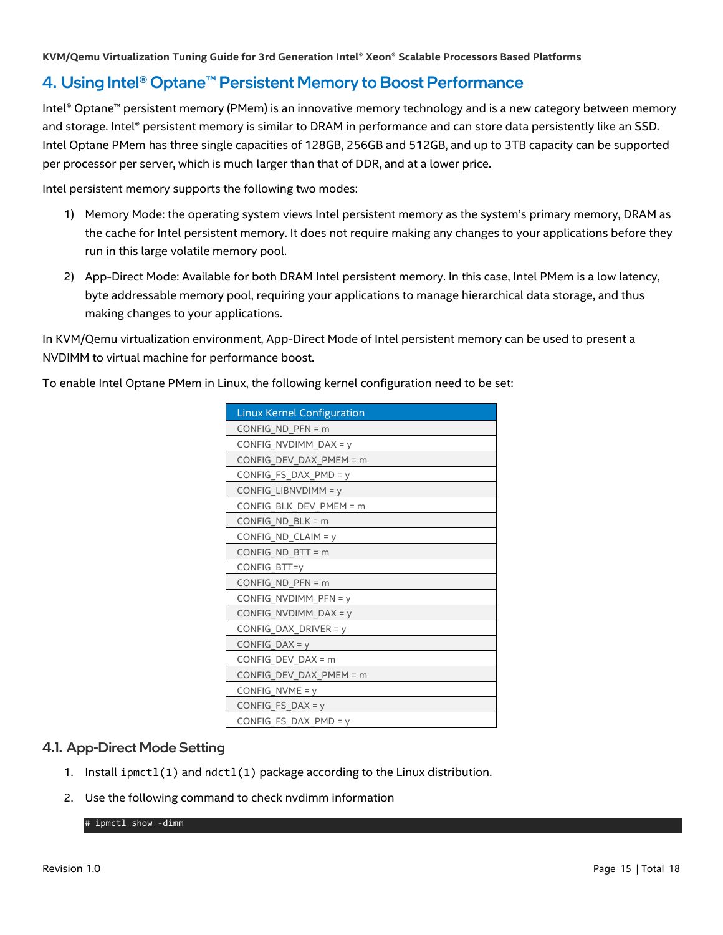## <span id="page-14-0"></span>4. Using Intel® Optane™ Persistent Memory to Boost Performance

Intel® Optane™ persistent memory (PMem) is an innovative memory technology and is a new category between memory and storage. Intel® persistent memory is similar to DRAM in performance and can store data persistently like an SSD. Intel Optane PMem has three single capacities of 128GB, 256GB and 512GB, and up to 3TB capacity can be supported per processor per server, which is much larger than that of DDR, and at a lower price.

Intel persistent memory supports the following two modes:

- 1) Memory Mode: the operating system views Intel persistent memory as the system's primary memory, DRAM as the cache for Intel persistent memory. It does not require making any changes to your applications before they run in this large volatile memory pool.
- 2) App-Direct Mode: Available for both DRAM Intel persistent memory. In this case, Intel PMem is a low latency, byte addressable memory pool, requiring your applications to manage hierarchical data storage, and thus making changes to your applications.

In KVM/Qemu virtualization environment, App-Direct Mode of Intel persistent memory can be used to present a NVDIMM to virtual machine for performance boost.

To enable Intel Optane PMem in Linux, the following kernel configuration need to be set:

| <b>Linux Kernel Configuration</b> |
|-----------------------------------|
| CONFIG ND PFN = $m$               |
| CONFIG NVDIMM DAX = $y$           |
| CONFIG DEV DAX PMEM = $m$         |
| CONFIG_FS_DAX_PMD = $y$           |
| $CONFIG_LIBNVDIMM = y$            |
| CONFIG BLK DEV PMEM = m           |
| $CONFIG_ND_BLK = m$               |
| CONFIG_ND_CLAIM = y               |
| $CONFIG_ND_BTT = m$               |
| CONFIG BTT=y                      |
| CONFIG ND PFN = $m$               |
| CONFIG NVDIMM PFN = $y$           |
| CONFIG NVDIMM DAX = $y$           |
| CONFIG_DAX_DRIVER = $y$           |
| CONFIG DAX = $y$                  |
| CONFIG DEV DAX = $m$              |
| CONFIG_DEV_DAX_PMEM = m           |
| CONFIG_NVME = $y$                 |
| CONFIG_FS_DAX = $y$               |
| CONFIG_FS_DAX_PMD = y             |

#### <span id="page-14-1"></span>4.1. App-Direct Mode Setting

- 1. Install ipmctl(1) and ndctl(1) package according to the Linux distribution.
- 2. Use the following command to check nvdimm information

# ipmctl show -dimm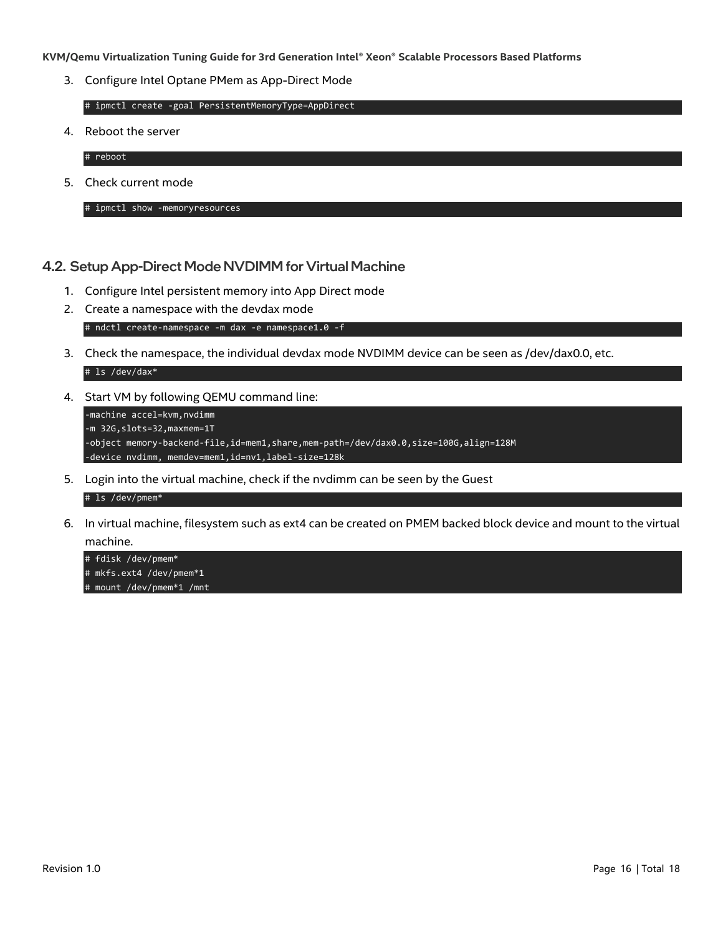3. Configure Intel Optane PMem as App-Direct Mode

# ipmctl create -goal PersistentMemoryType=AppDirect

4. Reboot the server

# reboot

5. Check current mode

# ipmctl show -memoryresources

#### <span id="page-15-0"></span>4.2. Setup App-Direct Mode NVDIMM for Virtual Machine

- 1. Configure Intel persistent memory into App Direct mode
- 2. Create a namespace with the devdax mode # ndctl create-namespace -m dax -e namespace1.0 -f
- 3. Check the namespace, the individual devdax mode NVDIMM device can be seen as /dev/dax0.0, etc. # ls /dev/dax\*
- 4. Start VM by following QEMU command line:

```
-machine accel=kvm, nvdimm
-m 32G,slots=32,maxmem=1T
-object memory-backend-file,id=mem1,share,mem-path=/dev/dax0.0,size=100G,align=128M
-device nvdimm, memdev=mem1,id=nv1,label-size=128k
```
5. Login into the virtual machine, check if the nvdimm can be seen by the Guest

#### # ls /dev/pmem\*

6. In virtual machine, filesystem such as ext4 can be created on PMEM backed block device and mount to the virtual machine.

# fdisk /dev/pmem\* # mkfs.ext4 /dev/pmem\*1 # mount /dev/pmem\*1 /mnt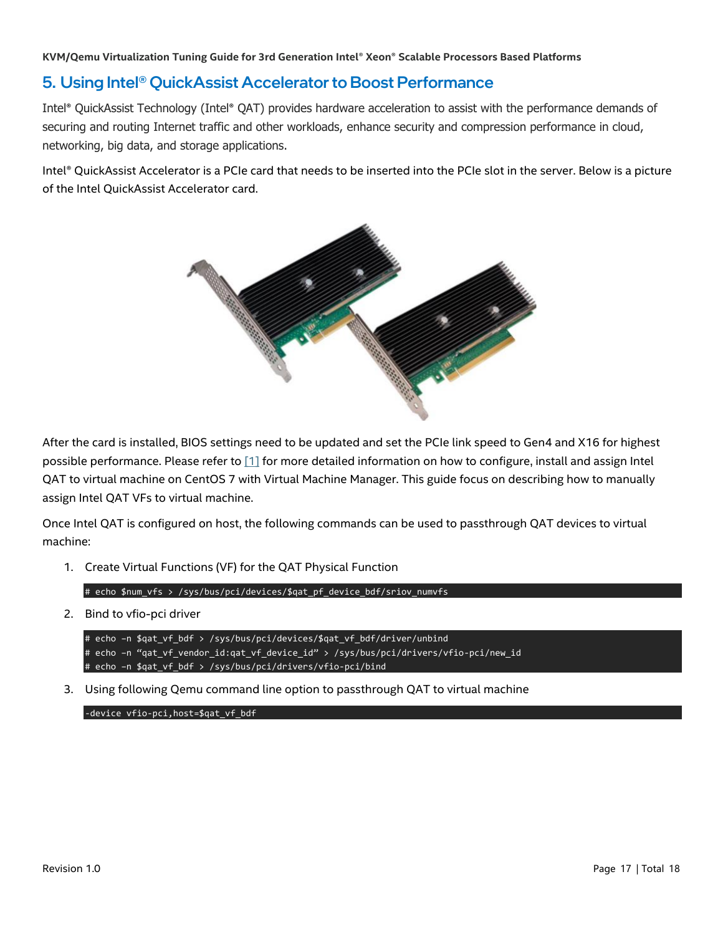## <span id="page-16-0"></span>5. Using Intel® QuickAssist Accelerator to Boost Performance

Intel® QuickAssist Technology (Intel® QAT) provides hardware acceleration to assist with the performance demands of securing and routing Internet traffic and other workloads, enhance security and compression performance in cloud, networking, big data, and storage applications.

Intel® QuickAssist Accelerator is a PCIe card that needs to be inserted into the PCIe slot in the server. Below is a picture of the Intel QuickAssist Accelerator card.



After the card is installed, BIOS settings need to be updated and set the PCIe link speed to Gen4 and X16 for highest possible performance. Please refer to [\[1\]](#page-17-0) for more detailed information on how to configure, install and assign Intel QAT to virtual machine on CentOS 7 with Virtual Machine Manager. This guide focus on describing how to manually assign Intel QAT VFs to virtual machine.

Once Intel QAT is configured on host, the following commands can be used to passthrough QAT devices to virtual machine:

1. Create Virtual Functions (VF) for the QAT Physical Function

```
# echo $num_vfs > /sys/bus/pci/devices/$qat_pf_device_bdf/sriov_numvfs
```
2. Bind to vfio-pci driver

```
# echo –n $qat_vf_bdf > /sys/bus/pci/devices/$qat_vf_bdf/driver/unbind
# echo –n "qat_vf_vendor_id:qat_vf_device_id" > /sys/bus/pci/drivers/vfio-pci/new_id
# echo –n $qat_vf_bdf > /sys/bus/pci/drivers/vfio-pci/bind
```
3. Using following Qemu command line option to passthrough QAT to virtual machine

```
-device vfio-pci,host=$qat_vf_bdf
```